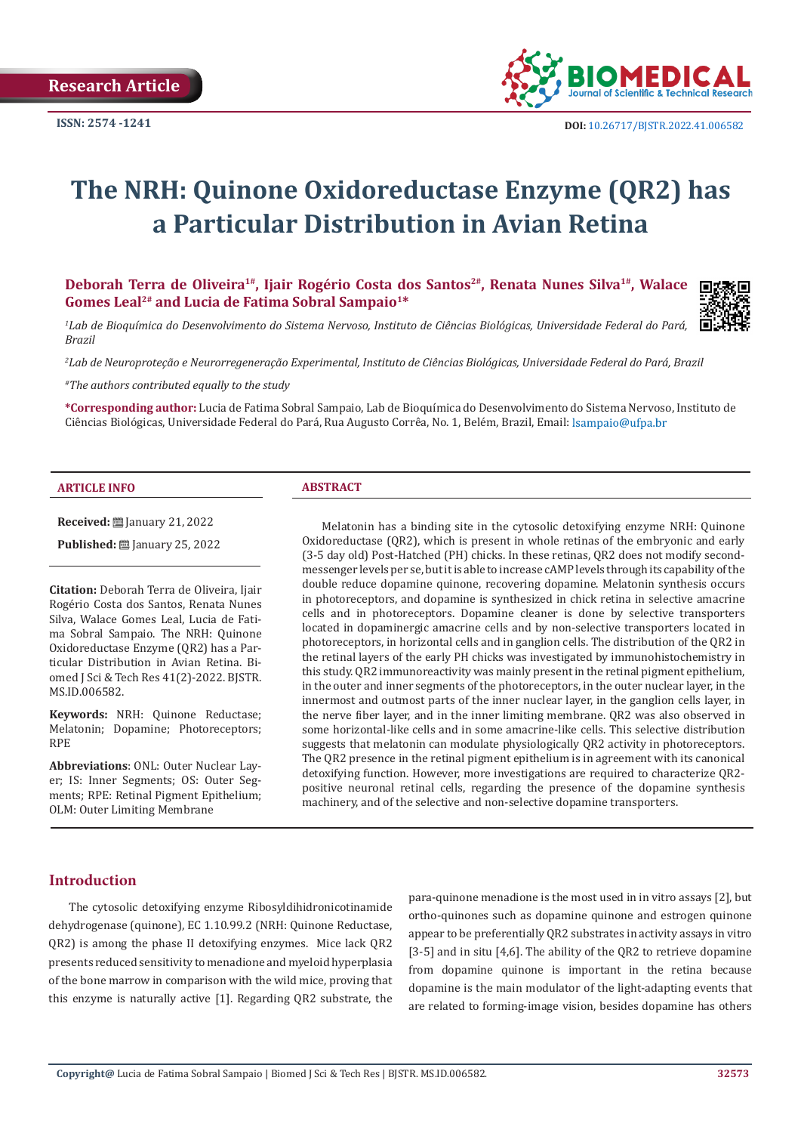

# **The NRH: Quinone Oxidoreductase Enzyme (QR2) has a Particular Distribution in Avian Retina**

Deborah Terra de Oliveira<sup>1#</sup>, Ijair Rogério Costa dos Santos<sup>2#</sup>, Renata Nunes Silva<sup>1#</sup>, Walace **Gomes Leal2# and Lucia de Fatima Sobral Sampaio1\***

*1 Lab de Bioquímica do Desenvolvimento do Sistema Nervoso, Instituto de Ciências Biológicas, Universidade Federal do Pará, Brazil*

*2 Lab de Neuroproteção e Neurorregeneração Experimental, Instituto de Ciências Biológicas, Universidade Federal do Pará, Brazil*

*#The authors contributed equally to the study*

**\*Corresponding author:** Lucia de Fatima Sobral Sampaio, Lab de Bioquímica do Desenvolvimento do Sistema Nervoso, Instituto de Ciências Biológicas, Universidade Federal do Pará, Rua Augusto Corrêa, No. 1, Belém, Brazil, Email:

#### **ARTICLE INFO ABSTRACT**

**Received:** January 21, 2022

**Published:** ■ January 25, 2022

**Citation:** Deborah Terra de Oliveira, Ijair Rogério Costa dos Santos, Renata Nunes Silva, Walace Gomes Leal, Lucia de Fatima Sobral Sampaio. The NRH: Quinone Oxidoreductase Enzyme (QR2) has a Particular Distribution in Avian Retina. Biomed J Sci & Tech Res 41(2)-2022. BJSTR. MS.ID.006582.

**Keywords:** NRH: Quinone Reductase; Melatonin; Dopamine; Photoreceptors; RPE

**Abbreviations**: ONL: Outer Nuclear Layer; IS: Inner Segments; OS: Outer Segments; RPE: Retinal Pigment Epithelium; OLM: Outer Limiting Membrane

Melatonin has a binding site in the cytosolic detoxifying enzyme NRH: Quinone Oxidoreductase (QR2), which is present in whole retinas of the embryonic and early (3-5 day old) Post-Hatched (PH) chicks. In these retinas, QR2 does not modify secondmessenger levels per se, but it is able to increase cAMP levels through its capability of the double reduce dopamine quinone, recovering dopamine. Melatonin synthesis occurs in photoreceptors, and dopamine is synthesized in chick retina in selective amacrine cells and in photoreceptors. Dopamine cleaner is done by selective transporters located in dopaminergic amacrine cells and by non-selective transporters located in photoreceptors, in horizontal cells and in ganglion cells. The distribution of the QR2 in the retinal layers of the early PH chicks was investigated by immunohistochemistry in this study. QR2 immunoreactivity was mainly present in the retinal pigment epithelium, in the outer and inner segments of the photoreceptors, in the outer nuclear layer, in the innermost and outmost parts of the inner nuclear layer, in the ganglion cells layer, in the nerve fiber layer, and in the inner limiting membrane. QR2 was also observed in some horizontal-like cells and in some amacrine-like cells. This selective distribution suggests that melatonin can modulate physiologically QR2 activity in photoreceptors. The QR2 presence in the retinal pigment epithelium is in agreement with its canonical detoxifying function. However, more investigations are required to characterize QR2 positive neuronal retinal cells, regarding the presence of the dopamine synthesis machinery, and of the selective and non-selective dopamine transporters.

# **Introduction**

The cytosolic detoxifying enzyme Ribosyldihidronicotinamide dehydrogenase (quinone), EC 1.10.99.2 (NRH: Quinone Reductase, QR2) is among the phase II detoxifying enzymes. Mice lack QR2 presents reduced sensitivity to menadione and myeloid hyperplasia of the bone marrow in comparison with the wild mice, proving that this enzyme is naturally active [1]. Regarding QR2 substrate, the para-quinone menadione is the most used in in vitro assays [2], but ortho-quinones such as dopamine quinone and estrogen quinone appear to be preferentially QR2 substrates in activity assays in vitro [3-5] and in situ [4,6]. The ability of the OR2 to retrieve dopamine from dopamine quinone is important in the retina because dopamine is the main modulator of the light-adapting events that are related to forming-image vision, besides dopamine has others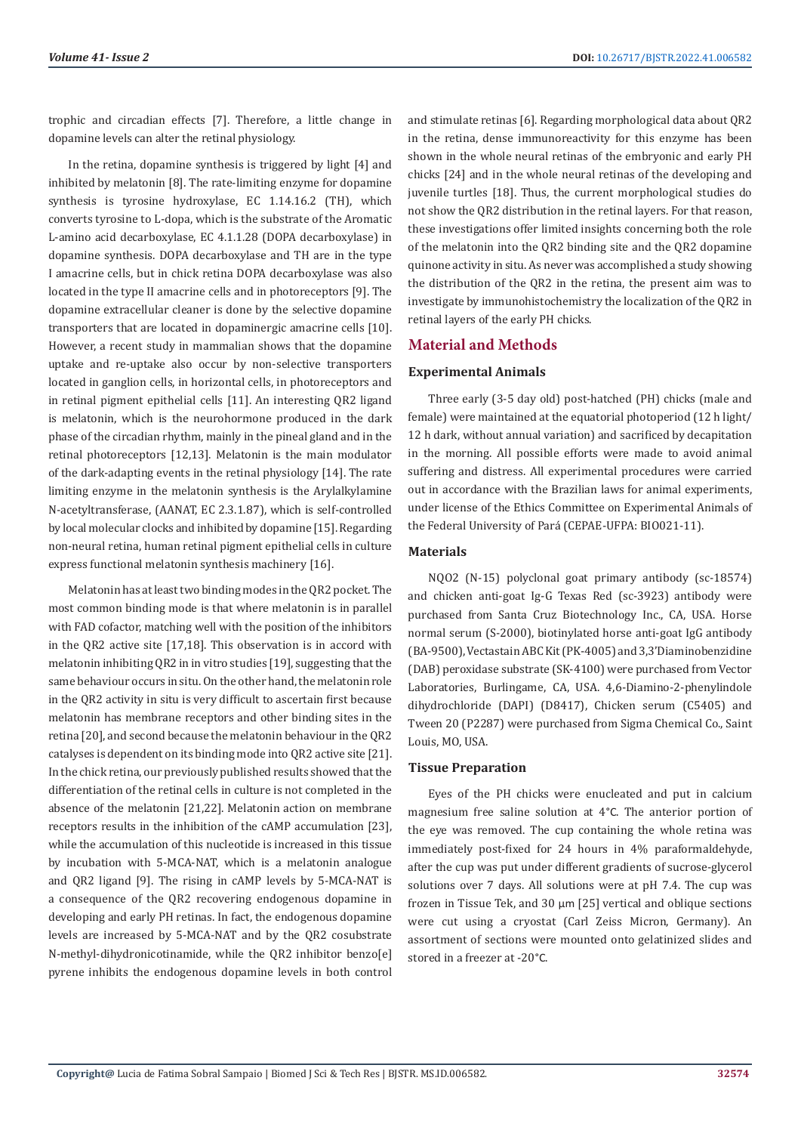trophic and circadian effects [7]. Therefore, a little change in dopamine levels can alter the retinal physiology.

In the retina, dopamine synthesis is triggered by light [4] and inhibited by melatonin [8]. The rate-limiting enzyme for dopamine synthesis is tyrosine hydroxylase, EC 1.14.16.2 (TH), which converts tyrosine to L-dopa, which is the substrate of the Aromatic L-amino acid decarboxylase, EC 4.1.1.28 (DOPA decarboxylase) in dopamine synthesis. DOPA decarboxylase and TH are in the type I amacrine cells, but in chick retina DOPA decarboxylase was also located in the type II amacrine cells and in photoreceptors [9]. The dopamine extracellular cleaner is done by the selective dopamine transporters that are located in dopaminergic amacrine cells [10]. However, a recent study in mammalian shows that the dopamine uptake and re-uptake also occur by non-selective transporters located in ganglion cells, in horizontal cells, in photoreceptors and in retinal pigment epithelial cells [11]. An interesting QR2 ligand is melatonin, which is the neurohormone produced in the dark phase of the circadian rhythm, mainly in the pineal gland and in the retinal photoreceptors [12,13]. Melatonin is the main modulator of the dark-adapting events in the retinal physiology [14]. The rate limiting enzyme in the melatonin synthesis is the Arylalkylamine N-acetyltransferase, (AANAT, EC 2.3.1.87), which is self-controlled by local molecular clocks and inhibited by dopamine [15]. Regarding non-neural retina, human retinal pigment epithelial cells in culture express functional melatonin synthesis machinery [16].

Melatonin has at least two binding modes in the QR2 pocket. The most common binding mode is that where melatonin is in parallel with FAD cofactor, matching well with the position of the inhibitors in the QR2 active site [17,18]. This observation is in accord with melatonin inhibiting QR2 in in vitro studies [19], suggesting that the same behaviour occurs in situ. On the other hand, the melatonin role in the QR2 activity in situ is very difficult to ascertain first because melatonin has membrane receptors and other binding sites in the retina [20], and second because the melatonin behaviour in the QR2 catalyses is dependent on its binding mode into QR2 active site [21]. In the chick retina, our previously published results showed that the differentiation of the retinal cells in culture is not completed in the absence of the melatonin [21,22]. Melatonin action on membrane receptors results in the inhibition of the cAMP accumulation [23], while the accumulation of this nucleotide is increased in this tissue by incubation with 5-MCA-NAT, which is a melatonin analogue and QR2 ligand [9]. The rising in cAMP levels by 5-MCA-NAT is a consequence of the QR2 recovering endogenous dopamine in developing and early PH retinas. In fact, the endogenous dopamine levels are increased by 5-MCA-NAT and by the QR2 cosubstrate N-methyl-dihydronicotinamide, while the QR2 inhibitor benzo[e] pyrene inhibits the endogenous dopamine levels in both control

and stimulate retinas [6]. Regarding morphological data about QR2 in the retina, dense immunoreactivity for this enzyme has been shown in the whole neural retinas of the embryonic and early PH chicks [24] and in the whole neural retinas of the developing and juvenile turtles [18]. Thus, the current morphological studies do not show the QR2 distribution in the retinal layers. For that reason, these investigations offer limited insights concerning both the role of the melatonin into the QR2 binding site and the QR2 dopamine quinone activity in situ. As never was accomplished a study showing the distribution of the QR2 in the retina, the present aim was to investigate by immunohistochemistry the localization of the QR2 in retinal layers of the early PH chicks.

# **Material and Methods**

# **Experimental Animals**

Three early (3-5 day old) post-hatched (PH) chicks (male and female) were maintained at the equatorial photoperiod (12 h light/ 12 h dark, without annual variation) and sacrificed by decapitation in the morning. All possible efforts were made to avoid animal suffering and distress. All experimental procedures were carried out in accordance with the Brazilian laws for animal experiments, under license of the Ethics Committee on Experimental Animals of the Federal University of Pará (CEPAE-UFPA: BIO021-11).

# **Materials**

NQO2 (N-15) polyclonal goat primary antibody (sc-18574) and chicken anti-goat Ig-G Texas Red (sc-3923) antibody were purchased from Santa Cruz Biotechnology Inc., CA, USA. Horse normal serum (S-2000), biotinylated horse anti-goat IgG antibody (BA-9500), Vectastain ABC Kit (PK-4005) and 3,3'Diaminobenzidine (DAB) peroxidase substrate (SK-4100) were purchased from Vector Laboratories, Burlingame, CA, USA. 4,6-Diamino-2-phenylindole dihydrochloride (DAPI) (D8417), Chicken serum (C5405) and Tween 20 (P2287) were purchased from Sigma Chemical Co., Saint Louis, MO, USA.

# **Tissue Preparation**

Eyes of the PH chicks were enucleated and put in calcium magnesium free saline solution at 4°C. The anterior portion of the eye was removed. The cup containing the whole retina was immediately post-fixed for 24 hours in 4% paraformaldehyde, after the cup was put under different gradients of sucrose-glycerol solutions over 7 days. All solutions were at pH 7.4. The cup was frozen in Tissue Tek, and 30 um [25] vertical and oblique sections were cut using a cryostat (Carl Zeiss Micron, Germany). An assortment of sections were mounted onto gelatinized slides and stored in a freezer at -20°C.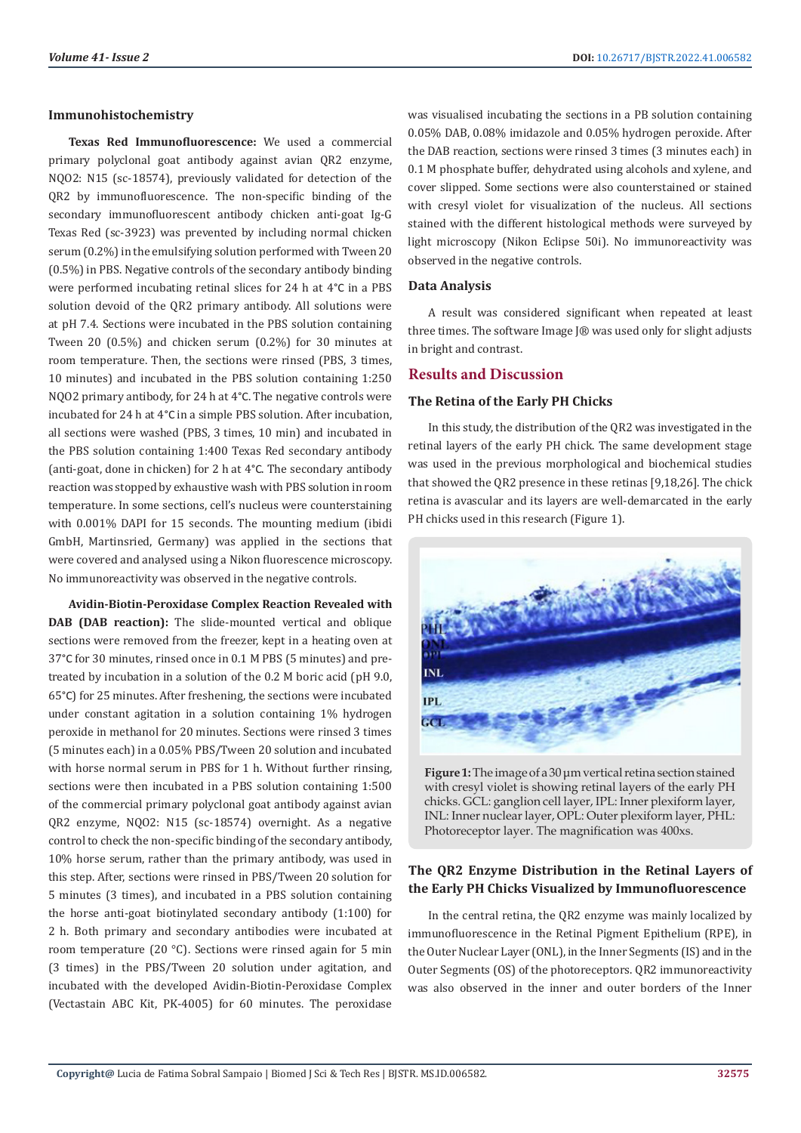#### **Immunohistochemistry**

**Texas Red Immunofluorescence:** We used a commercial primary polyclonal goat antibody against avian QR2 enzyme, NQO2: N15 (sc-18574), previously validated for detection of the QR2 by immunofluorescence. The non-specific binding of the secondary immunofluorescent antibody chicken anti-goat Ig-G Texas Red (sc-3923) was prevented by including normal chicken serum (0.2%) in the emulsifying solution performed with Tween 20 (0.5%) in PBS. Negative controls of the secondary antibody binding were performed incubating retinal slices for 24 h at 4°C in a PBS solution devoid of the QR2 primary antibody. All solutions were at pH 7.4. Sections were incubated in the PBS solution containing Tween 20 (0.5%) and chicken serum (0.2%) for 30 minutes at room temperature. Then, the sections were rinsed (PBS, 3 times, 10 minutes) and incubated in the PBS solution containing 1:250 NQO2 primary antibody, for 24 h at 4°C. The negative controls were incubated for 24 h at 4°C in a simple PBS solution. After incubation, all sections were washed (PBS, 3 times, 10 min) and incubated in the PBS solution containing 1:400 Texas Red secondary antibody (anti-goat, done in chicken) for 2 h at 4°C. The secondary antibody reaction was stopped by exhaustive wash with PBS solution in room temperature. In some sections, cell's nucleus were counterstaining with 0.001% DAPI for 15 seconds. The mounting medium (ibidi GmbH, Martinsried, Germany) was applied in the sections that were covered and analysed using a Nikon fluorescence microscopy. No immunoreactivity was observed in the negative controls.

**Avidin-Biotin-Peroxidase Complex Reaction Revealed with DAB (DAB reaction):** The slide-mounted vertical and oblique sections were removed from the freezer, kept in a heating oven at 37°C for 30 minutes, rinsed once in 0.1 M PBS (5 minutes) and pretreated by incubation in a solution of the 0.2 M boric acid (pH 9.0, 65°C) for 25 minutes. After freshening, the sections were incubated under constant agitation in a solution containing 1% hydrogen peroxide in methanol for 20 minutes. Sections were rinsed 3 times (5 minutes each) in a 0.05% PBS/Tween 20 solution and incubated with horse normal serum in PBS for 1 h. Without further rinsing, sections were then incubated in a PBS solution containing 1:500 of the commercial primary polyclonal goat antibody against avian QR2 enzyme, NQO2: N15 (sc-18574) overnight. As a negative control to check the non-specific binding of the secondary antibody, 10% horse serum, rather than the primary antibody, was used in this step. After, sections were rinsed in PBS/Tween 20 solution for 5 minutes (3 times), and incubated in a PBS solution containing the horse anti-goat biotinylated secondary antibody (1:100) for 2 h. Both primary and secondary antibodies were incubated at room temperature (20 °C). Sections were rinsed again for 5 min (3 times) in the PBS/Tween 20 solution under agitation, and incubated with the developed Avidin-Biotin-Peroxidase Complex (Vectastain ABC Kit, PK-4005) for 60 minutes. The peroxidase

was visualised incubating the sections in a PB solution containing 0.05% DAB, 0.08% imidazole and 0.05% hydrogen peroxide. After the DAB reaction, sections were rinsed 3 times (3 minutes each) in 0.1 M phosphate buffer, dehydrated using alcohols and xylene, and cover slipped. Some sections were also counterstained or stained with cresyl violet for visualization of the nucleus. All sections stained with the different histological methods were surveyed by light microscopy (Nikon Eclipse 50i). No immunoreactivity was observed in the negative controls.

## **Data Analysis**

A result was considered significant when repeated at least three times. The software Image J® was used only for slight adjusts in bright and contrast.

### **Results and Discussion**

### **The Retina of the Early PH Chicks**

In this study, the distribution of the QR2 was investigated in the retinal layers of the early PH chick. The same development stage was used in the previous morphological and biochemical studies that showed the QR2 presence in these retinas [9,18,26]. The chick retina is avascular and its layers are well-demarcated in the early PH chicks used in this research (Figure 1).



**Figure 1:** The image of a 30 μm vertical retina section stained with cresyl violet is showing retinal layers of the early PH chicks. GCL: ganglion cell layer, IPL: Inner plexiform layer, INL: Inner nuclear layer, OPL: Outer plexiform layer, PHL: Photoreceptor layer. The magnification was 400xs.

# **The QR2 Enzyme Distribution in the Retinal Layers of the Early PH Chicks Visualized by Immunofluorescence**

In the central retina, the QR2 enzyme was mainly localized by immunofluorescence in the Retinal Pigment Epithelium (RPE), in the Outer Nuclear Layer (ONL), in the Inner Segments (IS) and in the Outer Segments (OS) of the photoreceptors. QR2 immunoreactivity was also observed in the inner and outer borders of the Inner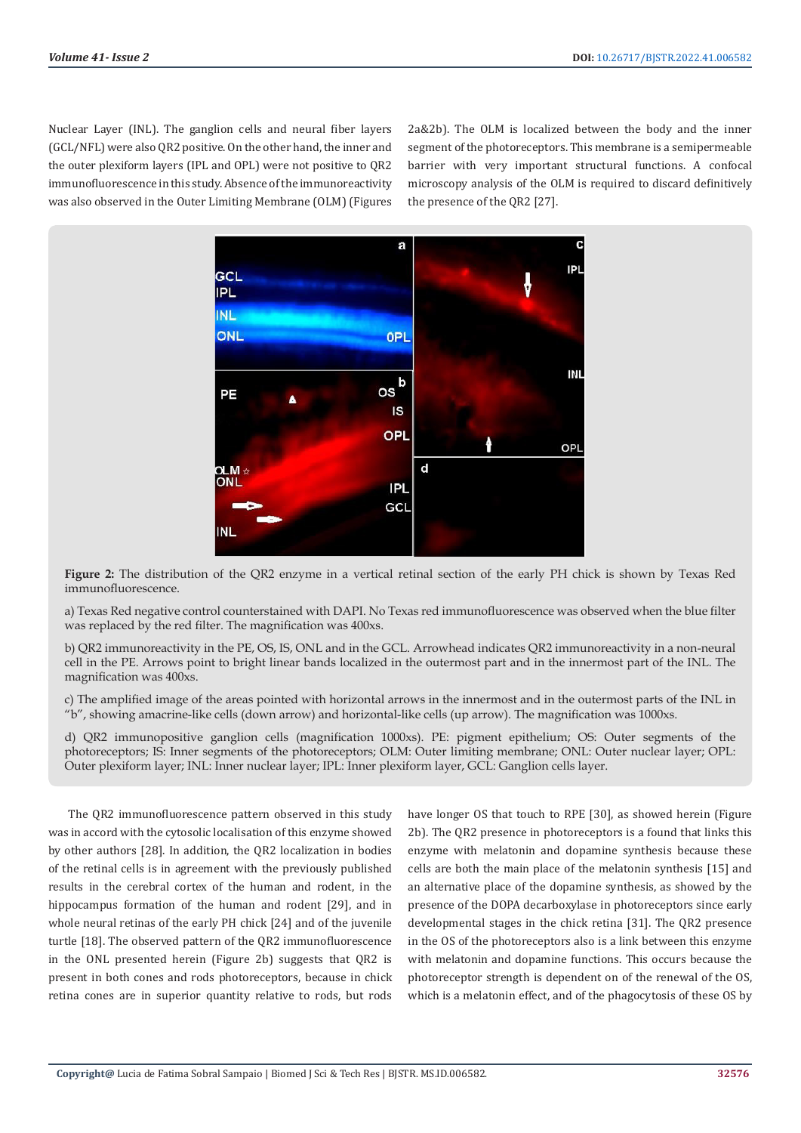Nuclear Layer (INL). The ganglion cells and neural fiber layers (GCL/NFL) were also QR2 positive. On the other hand, the inner and the outer plexiform layers (IPL and OPL) were not positive to QR2 immunofluorescence in this study. Absence of the immunoreactivity was also observed in the Outer Limiting Membrane (OLM) (Figures 2a&2b). The OLM is localized between the body and the inner segment of the photoreceptors. This membrane is a semipermeable barrier with very important structural functions. A confocal microscopy analysis of the OLM is required to discard definitively the presence of the QR2 [27].



**Figure 2:** The distribution of the QR2 enzyme in a vertical retinal section of the early PH chick is shown by Texas Red immunofluorescence.

a) Texas Red negative control counterstained with DAPI. No Texas red immunofluorescence was observed when the blue filter was replaced by the red filter. The magnification was 400xs.

b) QR2 immunoreactivity in the PE, OS, IS, ONL and in the GCL. Arrowhead indicates QR2 immunoreactivity in a non-neural cell in the PE. Arrows point to bright linear bands localized in the outermost part and in the innermost part of the INL. The magnification was 400xs.

c) The amplified image of the areas pointed with horizontal arrows in the innermost and in the outermost parts of the INL in "b", showing amacrine-like cells (down arrow) and horizontal-like cells (up arrow). The magnification was 1000xs.

d) QR2 immunopositive ganglion cells (magnification 1000xs). PE: pigment epithelium; OS: Outer segments of the photoreceptors; IS: Inner segments of the photoreceptors; OLM: Outer limiting membrane; ONL: Outer nuclear layer; OPL: Outer plexiform layer; INL: Inner nuclear layer; IPL: Inner plexiform layer, GCL: Ganglion cells layer.

The QR2 immunofluorescence pattern observed in this study was in accord with the cytosolic localisation of this enzyme showed by other authors [28]. In addition, the QR2 localization in bodies of the retinal cells is in agreement with the previously published results in the cerebral cortex of the human and rodent, in the hippocampus formation of the human and rodent [29], and in whole neural retinas of the early PH chick [24] and of the juvenile turtle [18]. The observed pattern of the QR2 immunofluorescence in the ONL presented herein (Figure 2b) suggests that QR2 is present in both cones and rods photoreceptors, because in chick retina cones are in superior quantity relative to rods, but rods have longer OS that touch to RPE [30], as showed herein (Figure 2b). The QR2 presence in photoreceptors is a found that links this enzyme with melatonin and dopamine synthesis because these cells are both the main place of the melatonin synthesis [15] and an alternative place of the dopamine synthesis, as showed by the presence of the DOPA decarboxylase in photoreceptors since early developmental stages in the chick retina [31]. The QR2 presence in the OS of the photoreceptors also is a link between this enzyme with melatonin and dopamine functions. This occurs because the photoreceptor strength is dependent on of the renewal of the OS, which is a melatonin effect, and of the phagocytosis of these OS by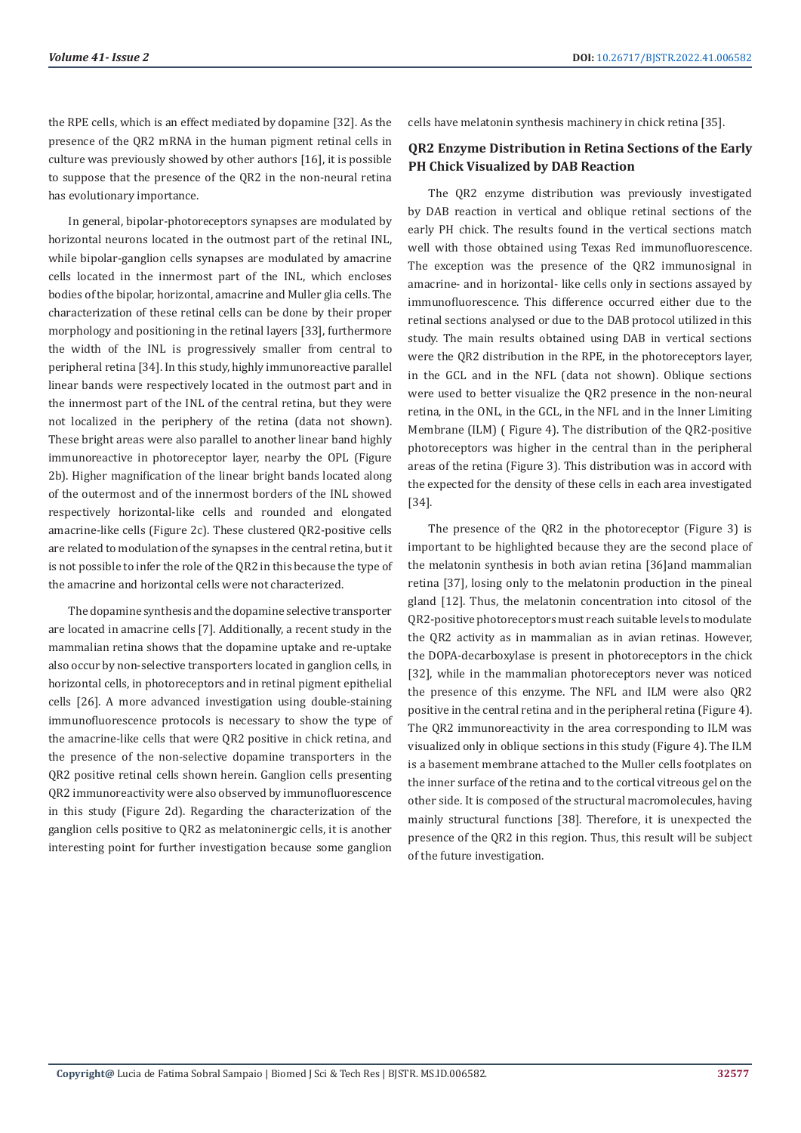the RPE cells, which is an effect mediated by dopamine [32]. As the presence of the QR2 mRNA in the human pigment retinal cells in culture was previously showed by other authors [16], it is possible to suppose that the presence of the QR2 in the non-neural retina has evolutionary importance.

In general, bipolar-photoreceptors synapses are modulated by horizontal neurons located in the outmost part of the retinal INL, while bipolar-ganglion cells synapses are modulated by amacrine cells located in the innermost part of the INL, which encloses bodies of the bipolar, horizontal, amacrine and Muller glia cells. The characterization of these retinal cells can be done by their proper morphology and positioning in the retinal layers [33], furthermore the width of the INL is progressively smaller from central to peripheral retina [34]. In this study, highly immunoreactive parallel linear bands were respectively located in the outmost part and in the innermost part of the INL of the central retina, but they were not localized in the periphery of the retina (data not shown). These bright areas were also parallel to another linear band highly immunoreactive in photoreceptor layer, nearby the OPL (Figure 2b). Higher magnification of the linear bright bands located along of the outermost and of the innermost borders of the INL showed respectively horizontal-like cells and rounded and elongated amacrine-like cells (Figure 2c). These clustered QR2-positive cells are related to modulation of the synapses in the central retina, but it is not possible to infer the role of the QR2 in this because the type of the amacrine and horizontal cells were not characterized.

The dopamine synthesis and the dopamine selective transporter are located in amacrine cells [7]. Additionally, a recent study in the mammalian retina shows that the dopamine uptake and re-uptake also occur by non-selective transporters located in ganglion cells, in horizontal cells, in photoreceptors and in retinal pigment epithelial cells [26]. A more advanced investigation using double-staining immunofluorescence protocols is necessary to show the type of the amacrine-like cells that were QR2 positive in chick retina, and the presence of the non-selective dopamine transporters in the QR2 positive retinal cells shown herein. Ganglion cells presenting QR2 immunoreactivity were also observed by immunofluorescence in this study (Figure 2d). Regarding the characterization of the ganglion cells positive to QR2 as melatoninergic cells, it is another interesting point for further investigation because some ganglion

cells have melatonin synthesis machinery in chick retina [35].

# **QR2 Enzyme Distribution in Retina Sections of the Early PH Chick Visualized by DAB Reaction**

The QR2 enzyme distribution was previously investigated by DAB reaction in vertical and oblique retinal sections of the early PH chick. The results found in the vertical sections match well with those obtained using Texas Red immunofluorescence. The exception was the presence of the QR2 immunosignal in amacrine- and in horizontal- like cells only in sections assayed by immunofluorescence. This difference occurred either due to the retinal sections analysed or due to the DAB protocol utilized in this study. The main results obtained using DAB in vertical sections were the QR2 distribution in the RPE, in the photoreceptors layer, in the GCL and in the NFL (data not shown). Oblique sections were used to better visualize the QR2 presence in the non-neural retina, in the ONL, in the GCL, in the NFL and in the Inner Limiting Membrane (ILM) ( Figure 4). The distribution of the QR2-positive photoreceptors was higher in the central than in the peripheral areas of the retina (Figure 3). This distribution was in accord with the expected for the density of these cells in each area investigated [34].

The presence of the QR2 in the photoreceptor (Figure 3) is important to be highlighted because they are the second place of the melatonin synthesis in both avian retina [36]and mammalian retina [37], losing only to the melatonin production in the pineal gland [12]. Thus, the melatonin concentration into citosol of the QR2-positive photoreceptors must reach suitable levels to modulate the QR2 activity as in mammalian as in avian retinas. However, the DOPA-decarboxylase is present in photoreceptors in the chick [32], while in the mammalian photoreceptors never was noticed the presence of this enzyme. The NFL and ILM were also QR2 positive in the central retina and in the peripheral retina (Figure 4). The QR2 immunoreactivity in the area corresponding to ILM was visualized only in oblique sections in this study (Figure 4). The ILM is a basement membrane attached to the Muller cells footplates on the inner surface of the retina and to the cortical vitreous gel on the other side. It is composed of the structural macromolecules, having mainly structural functions [38]. Therefore, it is unexpected the presence of the QR2 in this region. Thus, this result will be subject of the future investigation.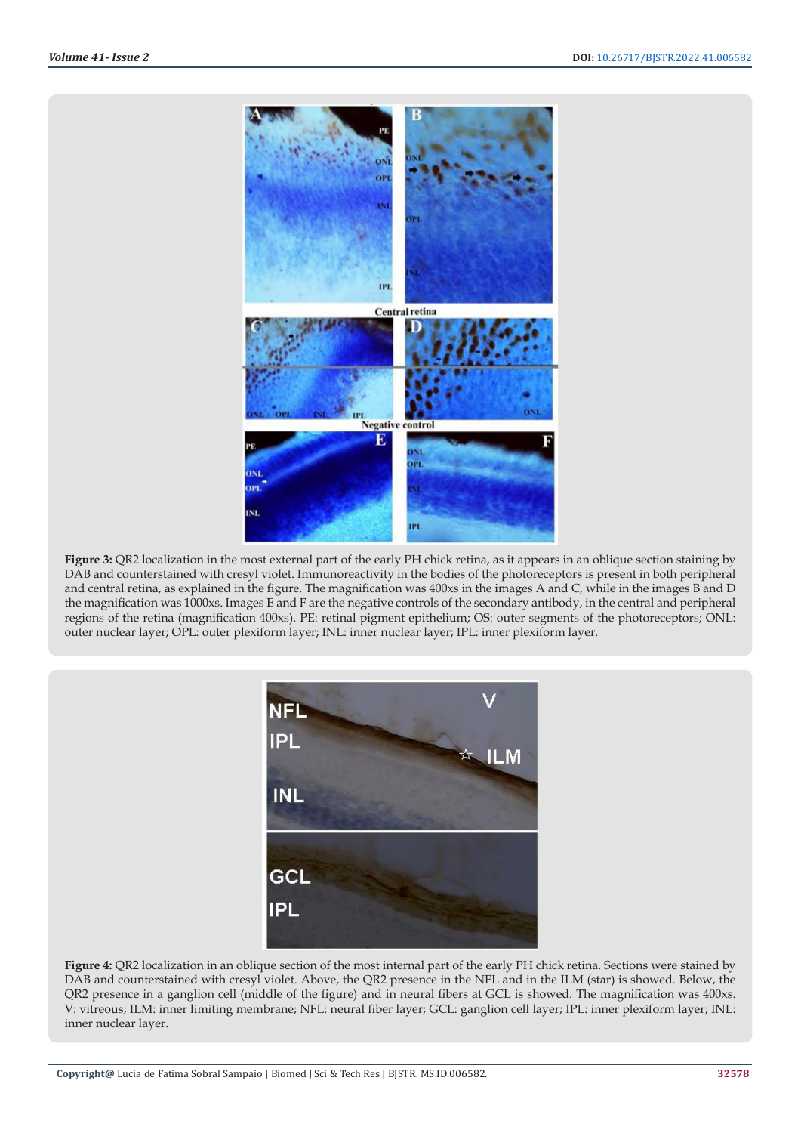

**Figure 3:** QR2 localization in the most external part of the early PH chick retina, as it appears in an oblique section staining by DAB and counterstained with cresyl violet. Immunoreactivity in the bodies of the photoreceptors is present in both peripheral and central retina, as explained in the figure. The magnification was 400xs in the images A and C, while in the images B and D the magnification was 1000xs. Images E and F are the negative controls of the secondary antibody, in the central and peripheral regions of the retina (magnification 400xs). PE: retinal pigment epithelium; OS: outer segments of the photoreceptors; ONL: outer nuclear layer; OPL: outer plexiform layer; INL: inner nuclear layer; IPL: inner plexiform layer.



**Figure 4:** QR2 localization in an oblique section of the most internal part of the early PH chick retina. Sections were stained by DAB and counterstained with cresyl violet. Above, the QR2 presence in the NFL and in the ILM (star) is showed. Below, the QR2 presence in a ganglion cell (middle of the figure) and in neural fibers at GCL is showed. The magnification was 400xs. V: vitreous; ILM: inner limiting membrane; NFL: neural fiber layer; GCL: ganglion cell layer; IPL: inner plexiform layer; INL: inner nuclear layer.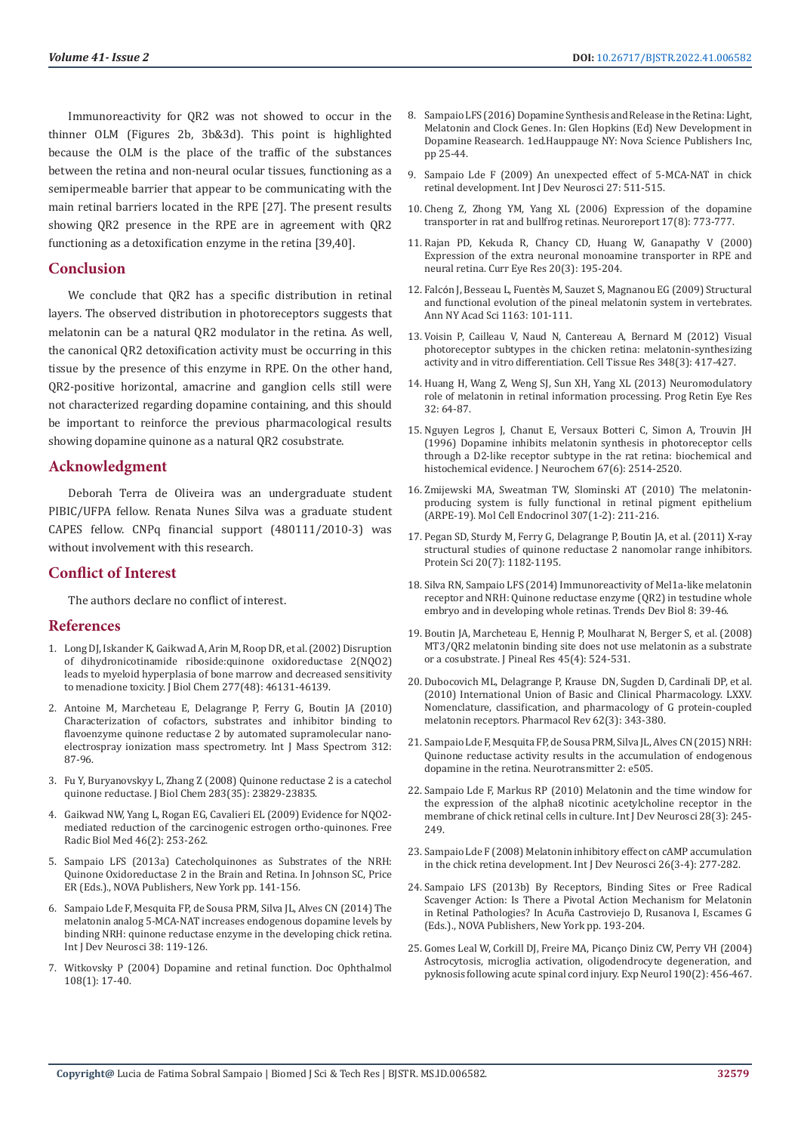Immunoreactivity for QR2 was not showed to occur in the thinner OLM (Figures 2b, 3b&3d). This point is highlighted because the OLM is the place of the traffic of the substances between the retina and non-neural ocular tissues, functioning as a semipermeable barrier that appear to be communicating with the main retinal barriers located in the RPE [27]. The present results showing QR2 presence in the RPE are in agreement with QR2 functioning as a detoxification enzyme in the retina [39,40].

## **Conclusion**

We conclude that QR2 has a specific distribution in retinal layers. The observed distribution in photoreceptors suggests that melatonin can be a natural QR2 modulator in the retina. As well, the canonical QR2 detoxification activity must be occurring in this tissue by the presence of this enzyme in RPE. On the other hand, QR2-positive horizontal, amacrine and ganglion cells still were not characterized regarding dopamine containing, and this should be important to reinforce the previous pharmacological results showing dopamine quinone as a natural QR2 cosubstrate.

#### **Acknowledgment**

Deborah Terra de Oliveira was an undergraduate student PIBIC/UFPA fellow. Renata Nunes Silva was a graduate student CAPES fellow. CNPq financial support (480111/2010-3) was without involvement with this research.

#### **Conflict of Interest**

The authors declare no conflict of interest.

#### **References**

- 1. [Long DJ, Iskander K, Gaikwad A, Arin M, Roop DR, et al. \(2002\) Disruption](https://pubmed.ncbi.nlm.nih.gov/12351651/)  [of dihydronicotinamide riboside:quinone oxidoreductase 2\(NQO2\)](https://pubmed.ncbi.nlm.nih.gov/12351651/)  [leads to myeloid hyperplasia of bone marrow and decreased sensitivity](https://pubmed.ncbi.nlm.nih.gov/12351651/)  [to menadione toxicity. J Biol Chem 277\(48\): 46131-46139.](https://pubmed.ncbi.nlm.nih.gov/12351651/)
- 2. [Antoine M, Marcheteau E, Delagrange P, Ferry G, Boutin JA \(2010\)](https://app.dimensions.ai/details/publication/pub.1025568414?and_facet_journal=jour.1010959)  [Characterization of cofactors, substrates and inhibitor binding to](https://app.dimensions.ai/details/publication/pub.1025568414?and_facet_journal=jour.1010959)  [flavoenzyme quinone reductase 2 by automated supramolecular nano](https://app.dimensions.ai/details/publication/pub.1025568414?and_facet_journal=jour.1010959)[electrospray ionization mass spectrometry. Int J Mass Spectrom 312:](https://app.dimensions.ai/details/publication/pub.1025568414?and_facet_journal=jour.1010959)  [87-96.](https://app.dimensions.ai/details/publication/pub.1025568414?and_facet_journal=jour.1010959)
- 3. [Fu Y, Buryanovskyy L, Zhang Z \(2008\) Quinone reductase 2 is a catechol](https://www.ncbi.nlm.nih.gov/labs/pmc/articles/PMC2527206/)  [quinone reductase. J Biol Chem 283\(35\): 23829-23835.](https://www.ncbi.nlm.nih.gov/labs/pmc/articles/PMC2527206/)
- 4. Gaikwad NW, Yang L, Rogan EG, Cavalieri EL (2009) Evidence for NQO2 mediated reduction of the carcinogenic estrogen ortho-quinones. Free Radic Biol Med 46(2): 253-262.
- 5. [Sampaio LFS \(2013a\) Catecholquinones as Substrates of the NRH:](https://www.researchgate.net/publication/252627330_Catecholquinones_as_Substrates_of_the_NRH_Quinone_Oxidoreductase_2_in_the_Brain_and_Retina)  [Quinone Oxidoreductase 2 in the Brain and Retina. In Johnson SC, Price](https://www.researchgate.net/publication/252627330_Catecholquinones_as_Substrates_of_the_NRH_Quinone_Oxidoreductase_2_in_the_Brain_and_Retina)  [ER \(Eds.\)., NOVA Publishers, New York pp. 141-156.](https://www.researchgate.net/publication/252627330_Catecholquinones_as_Substrates_of_the_NRH_Quinone_Oxidoreductase_2_in_the_Brain_and_Retina)
- 6. [Sampaio Lde F, Mesquita FP, de Sousa PRM, Silva JL, Alves CN \(2014\) The](https://pubmed.ncbi.nlm.nih.gov/25218627/)  [melatonin analog 5-MCA-NAT increases endogenous dopamine levels by](https://pubmed.ncbi.nlm.nih.gov/25218627/)  [binding NRH: quinone reductase enzyme in the developing chick retina.](https://pubmed.ncbi.nlm.nih.gov/25218627/)  [Int J Dev Neurosci 38: 119-126.](https://pubmed.ncbi.nlm.nih.gov/25218627/)
- 7. Witkovsky P (2004) Dopamine and retinal function. Doc Ophthalmol 108(1): 17-40.
- 8. Sampaio LFS (2016) Dopamine Synthesis and Release in the Retina: Light, Melatonin and Clock Genes. In: Glen Hopkins (Ed) New Development in Dopamine Reasearch. 1ed.Hauppauge NY: Nova Science Publishers Inc, pp 25-44.
- 9. Sampaio Lde F (2009) An unexpected effect of 5-MCA-NAT in chick retinal development. Int J Dev Neurosci 27: 511-515.
- 10. [Cheng Z, Zhong YM, Yang XL \(2006\) Expression of the dopamine](https://pubmed.ncbi.nlm.nih.gov/16708013/) [transporter in rat and bullfrog retinas. Neuroreport 17\(8\): 773-777.](https://pubmed.ncbi.nlm.nih.gov/16708013/)
- 11. [Rajan PD, Kekuda R, Chancy CD, Huang W, Ganapathy V \(2000\)](https://pubmed.ncbi.nlm.nih.gov/10694895/) [Expression of the extra neuronal monoamine transporter in RPE and](https://pubmed.ncbi.nlm.nih.gov/10694895/) [neural retina. Curr Eye Res 20\(3\): 195-204.](https://pubmed.ncbi.nlm.nih.gov/10694895/)
- 12. Falcón J, Besseau L, Fuentè[s M, Sauzet S, Magnanou EG \(2009\) Structural](https://pubmed.ncbi.nlm.nih.gov/19456332/) [and functional evolution of the pineal melatonin system in vertebrates.](https://pubmed.ncbi.nlm.nih.gov/19456332/) [Ann NY Acad Sci 1163: 101-111.](https://pubmed.ncbi.nlm.nih.gov/19456332/)
- 13. [Voisin P, Cailleau V, Naud N, Cantereau A, Bernard M \(2012\) Visual](https://pubmed.ncbi.nlm.nih.gov/22447166/) [photoreceptor subtypes in the chicken retina: melatonin-synthesizing](https://pubmed.ncbi.nlm.nih.gov/22447166/) [activity and in vitro differentiation. Cell Tissue Res 348\(3\): 417-427.](https://pubmed.ncbi.nlm.nih.gov/22447166/)
- 14. Huang H, Wang Z, Weng SJ, Sun XH, Yang XL (2013) Neuromodulatory role of melatonin in retinal information processing. Prog Retin Eye Res 32: 64-87.
- 15. [Nguyen Legros J, Chanut E, Versaux Botteri C, Simon A, Trouvin JH](https://pubmed.ncbi.nlm.nih.gov/8931485/) [\(1996\) Dopamine inhibits melatonin synthesis in photoreceptor cells](https://pubmed.ncbi.nlm.nih.gov/8931485/) [through a D2-like receptor subtype in the rat retina: biochemical and](https://pubmed.ncbi.nlm.nih.gov/8931485/) [histochemical evidence. J Neurochem 67\(6\): 2514-2520.](https://pubmed.ncbi.nlm.nih.gov/8931485/)
- 16. [Zmijewski MA, Sweatman TW, Slominski AT \(2010\) The melatonin](https://pubmed.ncbi.nlm.nih.gov/19409957/)[producing system is fully functional in retinal pigment epithelium](https://pubmed.ncbi.nlm.nih.gov/19409957/) [\(ARPE-19\). Mol Cell Endocrinol 307\(1-2\): 211-216.](https://pubmed.ncbi.nlm.nih.gov/19409957/)
- 17. [Pegan SD, Sturdy M, Ferry G, Delagrange P, Boutin JA, et al. \(2011\) X-ray](https://pubmed.ncbi.nlm.nih.gov/21538647/) [structural studies of quinone reductase 2 nanomolar range inhibitors.](https://pubmed.ncbi.nlm.nih.gov/21538647/) [Protein Sci 20\(7\): 1182-1195.](https://pubmed.ncbi.nlm.nih.gov/21538647/)
- 18. [Silva RN, Sampaio LFS \(2014\) Immunoreactivity of Mel1a-like melatonin](http://www.researchtrends.net/tia/article_pdf.asp?in=0&vn=8&tid=49&aid=5590) [receptor and NRH: Quinone reductase enzyme \(QR2\) in testudine whole](http://www.researchtrends.net/tia/article_pdf.asp?in=0&vn=8&tid=49&aid=5590) [embryo and in developing whole retinas. Trends Dev Biol 8: 39-46.](http://www.researchtrends.net/tia/article_pdf.asp?in=0&vn=8&tid=49&aid=5590)
- 19. [Boutin JA, Marcheteau E, Hennig P, Moulharat N, Berger S, et al. \(2008\)](https://pubmed.ncbi.nlm.nih.gov/18826489/) [MT3/QR2 melatonin binding site does not use melatonin as a substrate](https://pubmed.ncbi.nlm.nih.gov/18826489/) [or a cosubstrate. J Pineal Res 45\(4\): 524-531.](https://pubmed.ncbi.nlm.nih.gov/18826489/)
- 20. [Dubocovich ML, Delagrange P, Krause DN, Sugden D, Cardinali DP, et al.](https://www.ncbi.nlm.nih.gov/labs/pmc/articles/PMC2964901/) [\(2010\) International Union of Basic and Clinical Pharmacology. LXXV.](https://www.ncbi.nlm.nih.gov/labs/pmc/articles/PMC2964901/) [Nomenclature, classification, and pharmacology of G protein-coupled](https://www.ncbi.nlm.nih.gov/labs/pmc/articles/PMC2964901/) [melatonin receptors. Pharmacol Rev 62\(3\): 343-380.](https://www.ncbi.nlm.nih.gov/labs/pmc/articles/PMC2964901/)
- 21. [Sampaio Lde F, Mesquita FP, de Sousa PRM, Silva JL, Alves CN \(2015\) NRH:](https://www.researchgate.net/publication/272418074_NRH_Quinone_Reductase_activity_results_in_the_accumulation_of_endogenous_dopamine_in_the_retina) [Quinone reductase activity results in the accumulation of endogenous](https://www.researchgate.net/publication/272418074_NRH_Quinone_Reductase_activity_results_in_the_accumulation_of_endogenous_dopamine_in_the_retina) [dopamine in the retina. Neurotransmitter 2: e505.](https://www.researchgate.net/publication/272418074_NRH_Quinone_Reductase_activity_results_in_the_accumulation_of_endogenous_dopamine_in_the_retina)
- 22. [Sampaio Lde F, Markus RP \(2010\) Melatonin and the time window for](https://pubmed.ncbi.nlm.nih.gov/20138137/) [the expression of the alpha8 nicotinic acetylcholine receptor in the](https://pubmed.ncbi.nlm.nih.gov/20138137/) [membrane of chick retinal cells in culture. Int J Dev Neurosci 28\(3\): 245-](https://pubmed.ncbi.nlm.nih.gov/20138137/) [249.](https://pubmed.ncbi.nlm.nih.gov/20138137/)
- 23. [Sampaio Lde F \(2008\) Melatonin inhibitory effect on cAMP accumulation](https://pubmed.ncbi.nlm.nih.gov/18343081/) [in the chick retina development. Int J Dev Neurosci 26\(3-4\): 277-282.](https://pubmed.ncbi.nlm.nih.gov/18343081/)
- 24. Sampaio LFS (2013b) By Receptors, Binding Sites or Free Radical Scavenger Action: Is There a Pivotal Action Mechanism for Melatonin in Retinal Pathologies? In Acuña Castroviejo D, Rusanova I, Escames G (Eds.)., NOVA Publishers, New York pp. 193-204.
- 25. [Gomes Leal W, Corkill DJ, Freire MA, Pican](https://pubmed.ncbi.nlm.nih.gov/15530884/)ço Diniz CW, Perry VH (2004) [Astrocytosis, microglia activation, oligodendrocyte degeneration, and](https://pubmed.ncbi.nlm.nih.gov/15530884/) [pyknosis following acute spinal cord injury. Exp Neurol 190\(2\): 456-467.](https://pubmed.ncbi.nlm.nih.gov/15530884/)